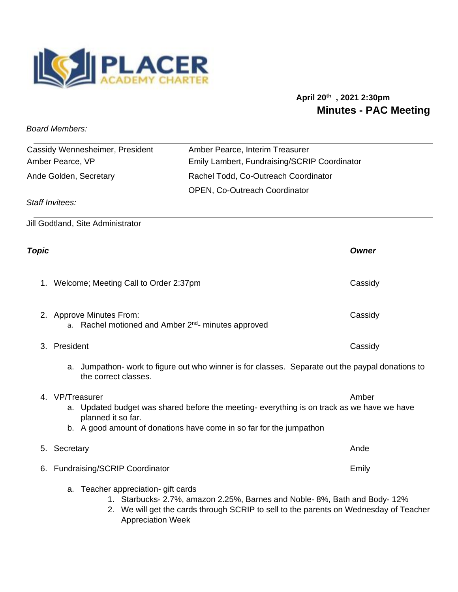

## **April 20th , 2021 2:30pm Minutes - PAC Meeting**

*Board Members:* 

| Cassidy Wennesheimer, President | Amber Pearce, Interim Treasurer              |
|---------------------------------|----------------------------------------------|
| Amber Pearce, VP                | Emily Lambert, Fundraising/SCRIP Coordinator |
| Ande Golden, Secretary          | Rachel Todd, Co-Outreach Coordinator         |
|                                 | <b>OPEN, Co-Outreach Coordinator</b>         |
| Staff Invitees:                 |                                              |

Jill Godtland, Site Administrator

| Topic |                                                                                                                                                                                                                                        | Owner   |
|-------|----------------------------------------------------------------------------------------------------------------------------------------------------------------------------------------------------------------------------------------|---------|
|       | 1. Welcome; Meeting Call to Order 2:37pm                                                                                                                                                                                               | Cassidy |
|       | 2. Approve Minutes From:<br>a. Rachel motioned and Amber 2 <sup>nd</sup> - minutes approved                                                                                                                                            | Cassidy |
|       | 3. President                                                                                                                                                                                                                           | Cassidy |
|       | a. Jumpathon- work to figure out who winner is for classes. Separate out the paypal donations to<br>the correct classes.                                                                                                               |         |
|       | 4. VP/Treasurer<br>Amber<br>a. Updated budget was shared before the meeting-everything is on track as we have we have<br>planned it so far.<br>b. A good amount of donations have come in so far for the jumpathon                     |         |
|       | 5. Secretary                                                                                                                                                                                                                           | Ande    |
|       | 6. Fundraising/SCRIP Coordinator                                                                                                                                                                                                       | Emily   |
|       | a. Teacher appreciation- gift cards<br>1. Starbucks- 2.7%, amazon 2.25%, Barnes and Noble- 8%, Bath and Body- 12%<br>2. We will get the cards through SCRIP to sell to the parents on Wednesday of Teacher<br><b>Appreciation Week</b> |         |